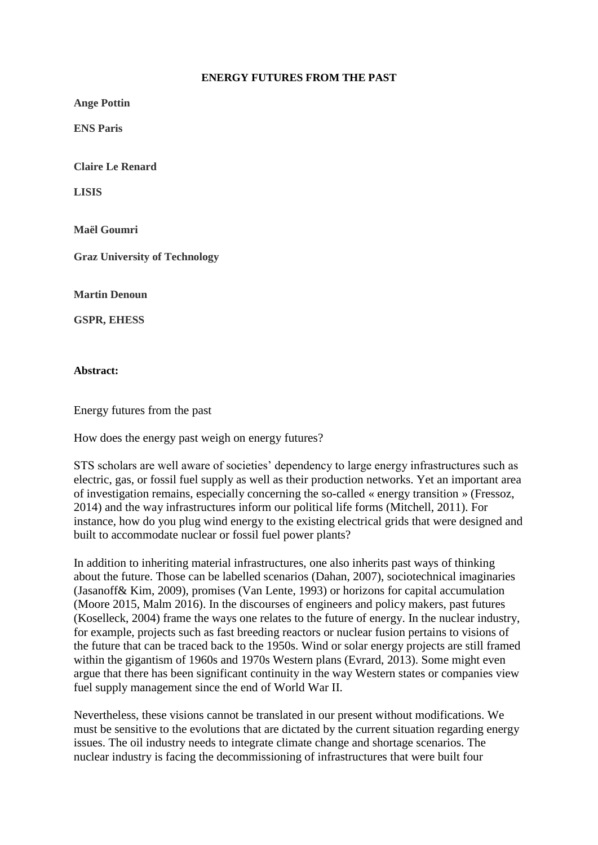## **ENERGY FUTURES FROM THE PAST**

**Ange Pottin**

**ENS Paris**

**Claire Le Renard** 

**LISIS** 

**Maël Goumri**

**Graz University of Technology**

**Martin Denoun**

**GSPR, EHESS** 

**Abstract:**

Energy futures from the past

How does the energy past weigh on energy futures?

STS scholars are well aware of societies' dependency to large energy infrastructures such as electric, gas, or fossil fuel supply as well as their production networks. Yet an important area of investigation remains, especially concerning the so-called « energy transition » (Fressoz, 2014) and the way infrastructures inform our political life forms (Mitchell, 2011). For instance, how do you plug wind energy to the existing electrical grids that were designed and built to accommodate nuclear or fossil fuel power plants?

In addition to inheriting material infrastructures, one also inherits past ways of thinking about the future. Those can be labelled scenarios (Dahan, 2007), sociotechnical imaginaries (Jasanoff& Kim, 2009), promises (Van Lente, 1993) or horizons for capital accumulation (Moore 2015, Malm 2016). In the discourses of engineers and policy makers, past futures (Koselleck, 2004) frame the ways one relates to the future of energy. In the nuclear industry, for example, projects such as fast breeding reactors or nuclear fusion pertains to visions of the future that can be traced back to the 1950s. Wind or solar energy projects are still framed within the gigantism of 1960s and 1970s Western plans (Evrard, 2013). Some might even argue that there has been significant continuity in the way Western states or companies view fuel supply management since the end of World War II.

Nevertheless, these visions cannot be translated in our present without modifications. We must be sensitive to the evolutions that are dictated by the current situation regarding energy issues. The oil industry needs to integrate climate change and shortage scenarios. The nuclear industry is facing the decommissioning of infrastructures that were built four